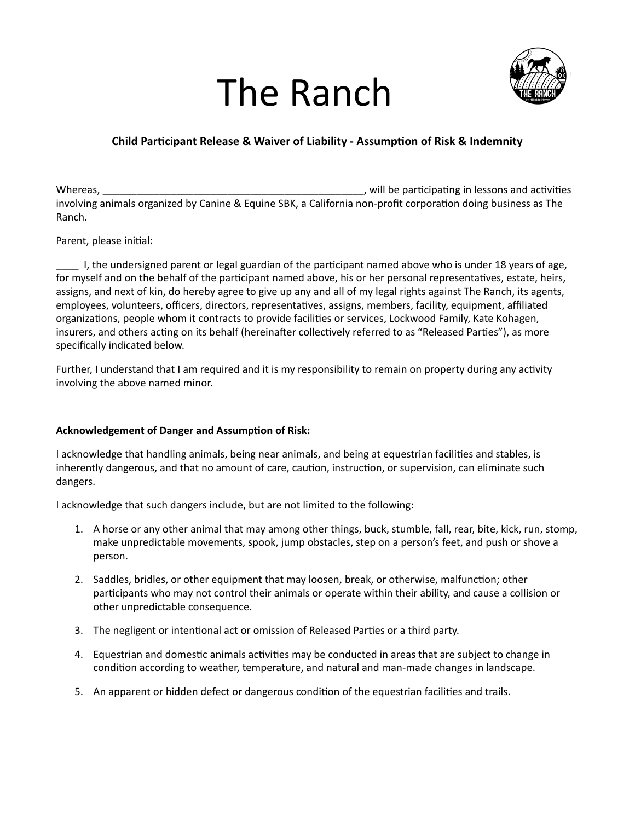## The Ranch



## **Child Participant Release & Waiver of Liability - Assumption of Risk & Indemnity**

Whereas, will be participating in lessons and activities of the participating in lessons and activities involving animals organized by Canine & Equine SBK, a California non-profit corporation doing business as The Ranch.

Parent, please initial:

I, the undersigned parent or legal guardian of the participant named above who is under 18 years of age, for myself and on the behalf of the participant named above, his or her personal representatives, estate, heirs, assigns, and next of kin, do hereby agree to give up any and all of my legal rights against The Ranch, its agents, employees, volunteers, officers, directors, representatives, assigns, members, facility, equipment, affiliated organizations, people whom it contracts to provide facilities or services, Lockwood Family, Kate Kohagen, insurers, and others acting on its behalf (hereinafter collectively referred to as "Released Parties"), as more specifically indicated below.

Further, I understand that I am required and it is my responsibility to remain on property during any activity involving the above named minor.

## **Acknowledgement of Danger and Assumption of Risk:**

I acknowledge that handling animals, being near animals, and being at equestrian facilities and stables, is inherently dangerous, and that no amount of care, caution, instruction, or supervision, can eliminate such dangers.

I acknowledge that such dangers include, but are not limited to the following:

- 1. A horse or any other animal that may among other things, buck, stumble, fall, rear, bite, kick, run, stomp, make unpredictable movements, spook, jump obstacles, step on a person's feet, and push or shove a person.
- 2. Saddles, bridles, or other equipment that may loosen, break, or otherwise, malfunction; other participants who may not control their animals or operate within their ability, and cause a collision or other unpredictable consequence.
- 3. The negligent or intentional act or omission of Released Parties or a third party.
- 4. Equestrian and domestic animals activities may be conducted in areas that are subject to change in condition according to weather, temperature, and natural and man-made changes in landscape.
- 5. An apparent or hidden defect or dangerous condition of the equestrian facilities and trails.